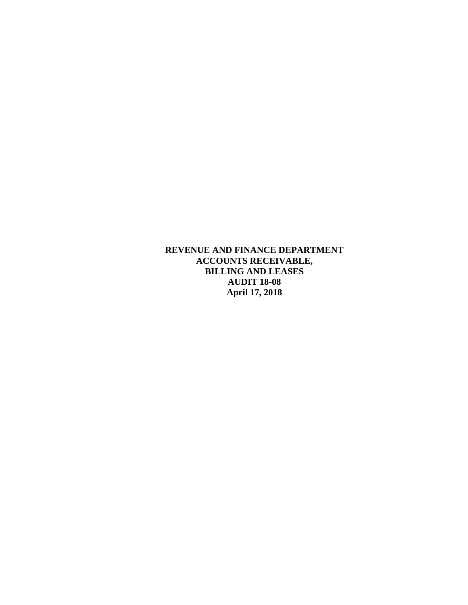**REVENUE AND FINANCE DEPARTMENT ACCOUNTS RECEIVABLE, BILLING AND LEASES AUDIT 18-08 April 17, 2018**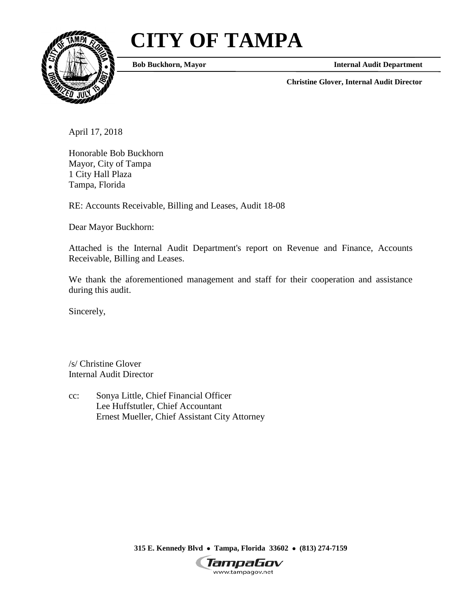# **CITY OF TAMPA**



**Bob Buckhorn, Mayor Internal Audit Department** 

**Christine Glover, Internal Audit Director** 

April 17, 2018

Honorable Bob Buckhorn Mayor, City of Tampa 1 City Hall Plaza Tampa, Florida

RE: Accounts Receivable, Billing and Leases, Audit 18-08

Dear Mayor Buckhorn:

 Attached is the Internal Audit Department's report on Revenue and Finance, Accounts Receivable, Billing and Leases.

We thank the aforementioned management and staff for their cooperation and assistance during this audit.

Sincerely,

/s/ Christine Glover Internal Audit Director

Lee Huffstutler, Chief Accountant cc: Sonya Little, Chief Financial Officer Ernest Mueller, Chief Assistant City Attorney

 **315 E. Kennedy Blvd** • **Tampa, Florida 33602** • **(813) 274-7159** 

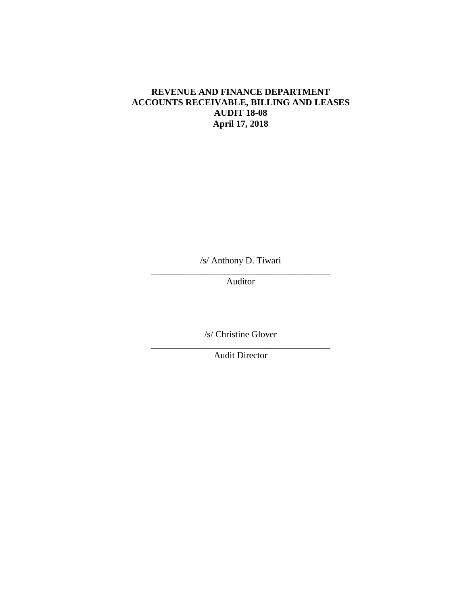### **REVENUE AND FINANCE DEPARTMENT ACCOUNTS RECEIVABLE, BILLING AND LEASES AUDIT 18-08 April 17, 2018**

/s/ Anthony D. Tiwari

\_\_\_\_\_\_\_\_\_\_\_\_\_\_\_\_\_\_\_\_\_\_\_\_\_\_\_\_\_\_\_\_\_\_\_\_\_\_\_ Auditor

/s/ Christine Glover

\_\_\_\_\_\_\_\_\_\_\_\_\_\_\_\_\_\_\_\_\_\_\_\_\_\_\_\_\_\_\_\_\_\_\_\_\_\_\_ Audit Director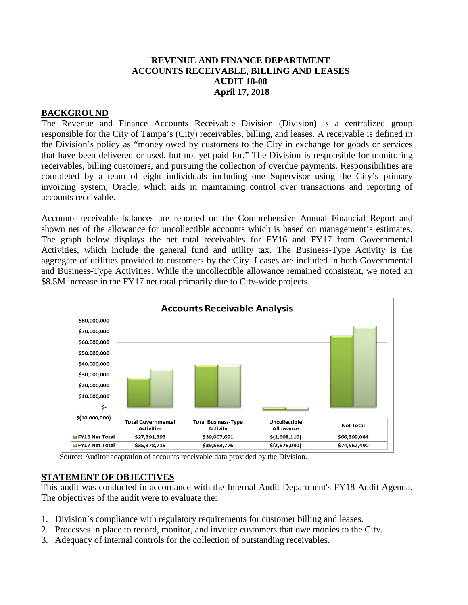#### **REVENUE AND FINANCE DEPARTMENT ACCOUNTS RECEIVABLE, BILLING AND LEASES AUDIT 18-08 April 17, 2018**

#### **BACKGROUND**

 responsible for the City of Tampa's (City) receivables, billing, and leases. A receivable is defined in the Division's policy as "money owed by customers to the City in exchange for goods or services receivables, billing customers, and pursuing the collection of overdue payments. Responsibilities are completed by a team of eight individuals including one Supervisor using the City's primary invoicing system, Oracle, which aids in maintaining control over transactions and reporting of The Revenue and Finance Accounts Receivable Division (Division) is a centralized group that have been delivered or used, but not yet paid for." The Division is responsible for monitoring accounts receivable.

 Accounts receivable balances are reported on the Comprehensive Annual Financial Report and The graph below displays the net total receivables for FY16 and FY17 from Governmental aggregate of utilities provided to customers by the City. Leases are included in both Governmental and Business-Type Activities. While the uncollectible allowance remained consistent, we noted an \$8.5M increase in the FY17 net total primarily due to City-wide projects. shown net of the allowance for uncollectible accounts which is based on management's estimates. Activities, which include the general fund and utility tax. The Business-Type Activity is the



Source: Auditor adaptation of accounts receivable data provided by the Division.

#### **STATEMENT OF OBJECTIVES**

 The objectives of the audit were to evaluate the: This audit was conducted in accordance with the Internal Audit Department's FY18 Audit Agenda.

- 1. Division's compliance with regulatory requirements for customer billing and leases.
- 2. Processes in place to record, monitor, and invoice customers that owe monies to the City.
- 3. Adequacy of internal controls for the collection of outstanding receivables.